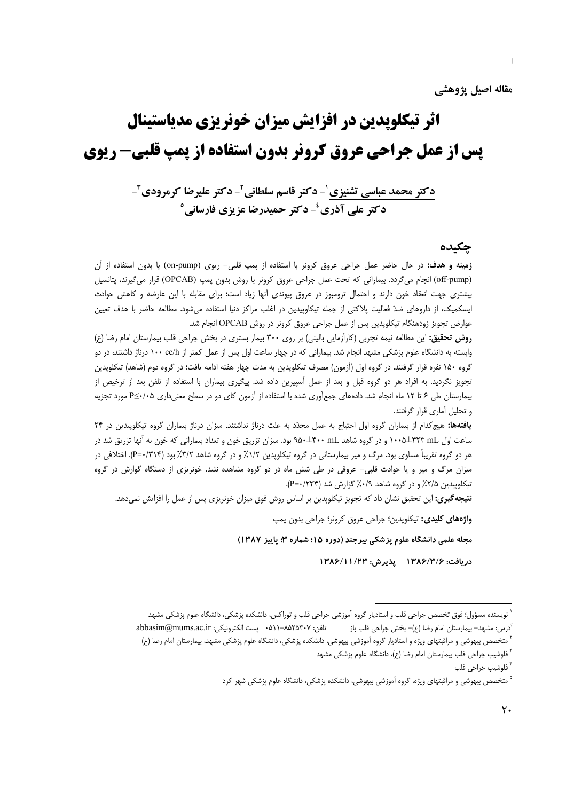# اثر تیکلویدین در افزایش میزان خونریزی مدیاستینال **یس از عمل جراحی عروق کرونر بدون استفاده از یمپ قلبی- ریوی**

دکتر محمد عباسی تشنیزی ٰ- دکتر قاسم سلطانی ٔ- دکتر علیرضا کرمرودی ٔ-دکتر علي آذري<sup>ء</sup>ُ-دکتر حميدرضا عزيزي فارساني<sup>0</sup>

#### حكىدە

زمینه و هدف: در حال حاضر عمل جراحی عروق کرونر با استفاده از پمپ قلبی- ریوی (on-pump) یا بدون استفاده از آن (off-pump) انجام میگردد. بیمارانی که تحت عمل جراحی عروق کرونر با روش بدون پمپ (OPCAB) قرار میگیرند، پتانسیل بیشتری جهت انعقاد خون دارند و احتمال ترومبوز در عروق پیوندی آنها زیاد است؛ برای مقابله با این عارضه و کاهش حوادث ایسکمیک، از داروهای ضدّ فعالیت پلاکتی از جمله تیکاوپیدین در اغلب مراکز دنیا استفاده میشود. مطالعه حاضر با هدف تعیین عوارض تجویز زودهنگام تیکلوپدین پس از عمل جراحی عروق کرونر در روش OPCAB انجام شد.

روش تحقیق: این مطالعه نیمه تجربی (کارآزمایی بالینی) بر روی ۳۰۰ بیمار بستری در بخش جراحی قلب بیمارستان امام رضا (ع) وابسته به دانشگاه علوم پزشکی مشهد انجام شد. بیمارانی که در چهار ساعت اول پس از عمل کمتر از ۱۰۰ cc/h درناژ داشتند، در دو گروه ۱۵۰ نفره قرار گرفتند. در گروه اول (اَزمون) مصرف تیکلوپدین به مدت چهار هفته ادامه یافت؛ در گروه دوم (شاهد) تیکلوپدین تجویز نگردید. به افراد هر دو گروه قبل و بعد از عمل آسپیرین داده شد. پیگیری بیماران با استفاده از تلفن بعد از ترخیص از بیمارستان طی ۶ تا ۱۲ ماه انجام شد. دادههای جمعآوری شده با استفاده از آزمون کای دو در سطح معنیداری ۶/۰۵-P مورد تجزیه و تحلیل آماری قرار گرفتند.

یافتهها: هیچ کدام از بیماران گروه اول احتیاج به عمل مجدّد به علت درناژ نداشتند. میزان درناژ بیماران گروه تیکلوپیدین در ۲۴ ساعت اول h+0±1 100 ×10+1 و در گروه شاهد A0+±۴۰۰ mL بود. میزان تزریق خون و تعداد بیمارانی که خون به آنها تزریق شد در هر دو گروه تقریباً مساوی بود. مرگ و میر بیمارستانی در گروه تیکلوپدین ۱/۲٪ و در گروه شاهد ۳/۲٪ بود (۳۱۴)--P). اختلافی در میزان مرگ و میر و یا حوادث قلبی- عروقی در طی شش ماه در دو گروه مشاهده نشد. خونریزی از دستگاه گوارش در گروه تیکلوپیدین ۲/۵٪ و در گروه شاهد ۰/۹٪ گزارش شد (۱۲۳۴--P).

**نتیجه گیری:** این تحقیق نشان داد که تجویز تیکلوپدین بر اساس روش فوق میزان خونریزی پس از عمل را افزایش نمیدهد.

واژههای کلیدی: تیکلوپدین؛ جراحی عروق کرونر؛ جراحی بدون پمپ

مجله علمی دانشگاه علوم پزشکی بیرجند (دوره ۱۵؛ شماره ۳؛ پاییز ۱۳۸۷)

دريافت: ١٣٨۶/٣/۶ يذيرش: ١٣٨۶/١١/٢٣

<sup>ّ</sup> نویسنده مسؤول؛ فوق تخصص جراحی قلب و استادیار گروه آموزشی جراحی قلب و توراکس، دانشکده پزشکی، دانشگاه علوم پزشکی مشهد تلفن: ٨٥٢٥٣٠٧-٨١١ → يست الكترونيكي: abbasim@mums.ac.ir أدرس: مشهد– بيمارستان امام رضا (ع)– بخش جراحي قلب باز ّ متخصص بيهوشي و مراقبتهاي ويژه و استاديار گروه آموزشي بيهوشي، دانشكده پزشكي، دانشگاه علوم پزشكي مشهد، بيمارستان امام رضا (ع)

<sup>&</sup>lt;sup>۳</sup> فلوشیپ جراحی قلب بیمارستان امام رضا (ع)، دانشگاه علوم پزشکی مشهد

<sup>&</sup>lt;sup>۴</sup> فلوشيپ جراحي قلب

<sup>&</sup>lt;sup>۵</sup> متخصص بیهوشی و مراقبتهای ویژه، گروه آموزشی بیهوشی، دانشکده پزشکی، دانشگاه علوم پزشکی شهر کرد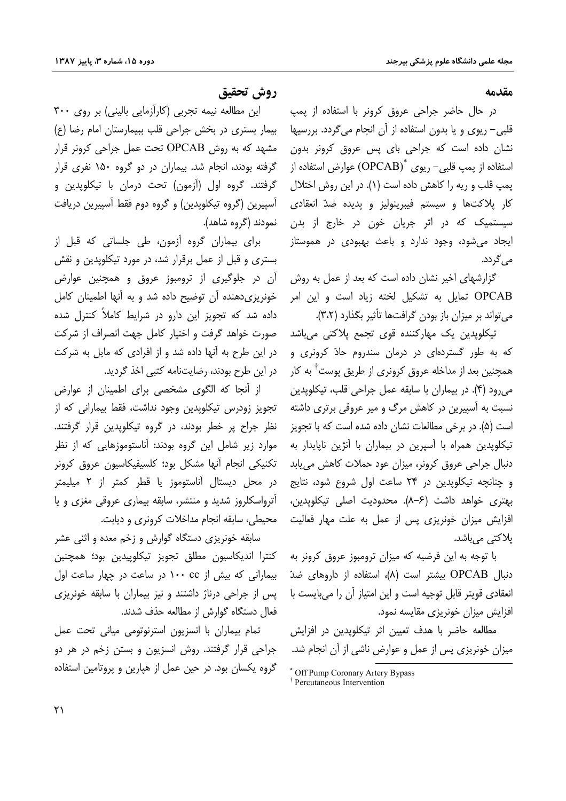#### مقدمه

در حال حاضر جراحی عروق کرونر با استفاده از پمپ قلبی– ریوی و یا بدون استفاده از آن انجام میگردد. بررسیها نشان داده است که جراحی بای پس عروق کرونر بدون استفاده از یمپ قلبی– ریوی  $\text{OPCAB}$ ) عوارض استفاده از پمپ قلب و ریه را کاهش داده است (۱). در این روش اختلال کار پلاکتها و سیستم فیبرینولیز و پدیده ضدّ انعقادی سیستمیک که در اثر جریان خون در خارج از بدن ایجاد میشود، وجود ندارد و باعث بهبودی در هموستاز می گردد.

گزارشهای اخیر نشان داده است که بعد از عمل به روش OPCAB تمایل به تشکیل لخته زیاد است و این امر می تواند بر میزان باز بودن گرافتها تأثیر بگذارد (۳،۲).

تیکلوپدین یک مهارکننده قو*ی* تجمع پلاکتی میباشد که به طور گستردهای در درمان سندروم حادّ کرونری و همچنین بعد از مداخله عروق کرونری از طریق پوست<sup>†</sup> به کار می,رود (۴). در بیماران با سابقه عمل جراحی قلب، تیکلویدین نسبت به آسپیرین در کاهش مرگ و میر عروقی برتری داشته است (۵). در برخی مطالعات نشان داده شده است که با تجویز تیکلوپدین همراه با آسپرین در بیماران با آنژین ناپایدار به دنبال جراحی عروق کرونر، میزان عود حملات کاهش میبابد و چنانچه تیکلوپدین در ۲۴ ساعت اول شروع شود، نتایج بهتري خواهد داشت (۶–۸). محدوديت اصلي تيكلويدين، افزایش میزان خونریزی پس از عمل به علت مهار فعالیت یلاکتے مے باشد.

با توجه به این فرضیه که میزان ترومبوز عروق کرونر به دنبال OPCAB بیشتر است (۸)، استفاده از داروهای ضدّ انعقادي قويتر قابل توجيه است و اين امتياز آن را مي بايست با افزایش میزان خونریزی مقایسه نمود.

مطالعه حاضر با هدف تعيين اثر تيكلوپدين در افزايش میزان خونریزی پس از عمل و عوارض ناشی از آن انجام شد.

# روش تحقيق

این مطالعه نیمه تجربی (کارآزمایی بالینی) بر روی ۳۰۰ بیمار بستری در بخش جراحی قلب ببیمارستان امام رضا (ع) مشهد که به روش OPCAB تحت عمل جراحی کرونر قرار گرفته بودند، انجام شد. بیماران در دو گروه ۱۵۰ نفری قرار گرفتند. گروه اول (آزمون) تحت درمان با تیکلوپدین و آسیپرین (گروه تیکلویدین) و گروه دوم فقط آسیپرین دریافت نمودند (گروه شاهد).

برای بیماران گروه آزمون، طی جلساتی که قبل از بستری و قبل از عمل برقرار شد، در مورد تیکلوپدین و نقش آن در جلوگیری از ترومبوز عروق و همچنین عوارض خونریزی دهنده آن توضیح داده شد و به آنها اطمینان کامل داده شد که تجویز این دارو در شرایط کاملاً کنترل شده صورت خواهد گرفت و اختیار کامل جهت انصراف از شرکت در این طرح به آنها داده شد و از افرادی که مایل به شرکت در این طرح بودند، رضایتنامه کتبی اخذ گردید.

از أنجا كه الگوى مشخصى براى اطمينان از عوارض تجویز زودرس تیکلوپدین وجود نداشت، فقط بیمارانی که از نظر جراح پر خطر بودند، در گروه تیکلویدین قرار گرفتند. موارد زیر شامل این گروه بودند: آناستوموزهایی که از نظر تكنيكي انجام آنها مشكل بود؛ كلسيفيكاسيون عروق كرونر در محل دیستال آناستوموز یا قطر کمتر از ۲ میلیمتر آترواسکلروز شدید و منتشر، سابقه بیماری عروقی مغزی و یا محیطی، سابقه انجام مداخلات کرونری و دیابت.

سابقه خونریزی دستگاه گوارش و زخم معده و اثنی عشر كنترا انديكاسيون مطلق تجويز تيكلوييدين بود؛ همچنين بیمارانی که بیش از cc ۱۰۰ در ساعت در چهار ساعت اول یس از جراحی درناژ داشتند و نیز بیماران با سابقه خونریزی فعال دستگاه گوارش از مطالعه حذف شدند.

تمام بيماران با انسزيون استرنوتومي مياني تحت عمل جراحی قرار گرفتند. روش انسزیون و بستن زخم در هر دو گروه یکسان بود. در حین عمل از هیارین و پروتامین استفاده

<sup>\*</sup> Off Pump Coronary Artery Bypass <sup>†</sup> Percutaneous Intervention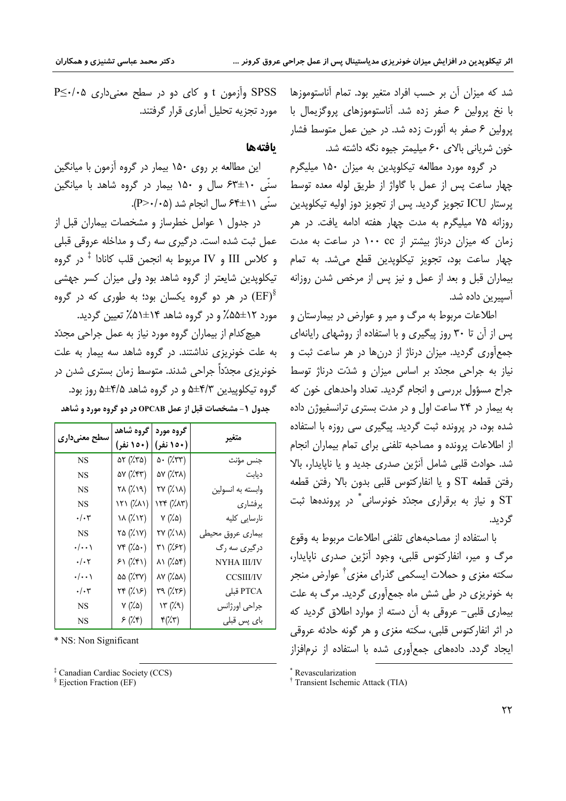شد که میزان آن بر حسب افراد متغیر بود. تمام آناستوموزها با نخ پرولین ۶ صفر زده شد. آناستوموزهای پروگزیمال با یرولین ۶ صفر به آئورت زده شد. در حین عمل متوسط فشار خون شریانی بالای ۶۰ میلیمتر جیوه نگه داشته شد.

در گروه مورد مطالعه تیکلویدین به میزان ۱۵۰ میلیگرم چهار ساعت پس از عمل با گاواژ از طریق لوله معده توسط پرستار ICU تجويز گرديد. پس از تجويز دوز اوليه تيکلويدين روزانه ۷۵ میلیگرم به مدت چهار هفته ادامه یافت. در هر زمان که میزان درناژ بیشتر از ۱۰۰ cc در ساعت به مدت چهار ساعت بود، تجویز تیکلوپدین قطع میشد. به تمام بیماران قبل و بعد از عمل و نیز پس از مرخص شدن روزانه آسیبرین داده شد.

اطلاعات مربوط به مرگ و میر و عوارض در بیمارستان و پس از آن تا ۳۰ روز پیگیری و با استفاده از روشهای رایانهای جمع آوري گرديد. ميزان درناژ از درنها در هر ساعت ثبت و نیاز به جراحی مجدّد بر اساس میزان و شدّت درناژ توسط جراح مسؤول بررسي و انجام گرديد. تعداد واحدهاي خون كه به بیمار در ۲۴ ساعت اول و در مدت بستری ترانسفیوژن داده شده بود، در پرونده ثبت گردید. پیگیری سی روزه با استفاده از اطلاعات پرونده و مصاحبه تلفنی برای تمام بیماران انجام شد. حوادث قلبي شامل آنژين صدري جديد و يا ناپايدار، بالا رفتن قطعه ST و يا انفاركتوس قلبي بدون بالا رفتن قطعه ST و نیاز به برقراری مجدّد خونرسانی ٌ در پروندهها ثبت گردید.

با استفاده از مصاحبههای تلفنی اطلاعات مربوط به وقوع مرگ و مير، انفاركتوس قلبي، وجود آنژين صدري ناپايدار، سکته مغزی و حملات ایسکمی گذرای مغزی<sup>†</sup> عوارض منجر به خونریزی در طی شش ماه جمعآوری گردید. مرگ به علت بیماری قلبی- عروقی به آن دسته از موارد اطلاق گردید که در اثر انفارکتوس قلبی، سکته مغزی و هر گونه حادثه عروقی ایجاد گردد. دادههای جمعآوری شده با استفاده از نرمافزاز

SPSS وأزمون t و كاى دو در سطح معنى دارى A<..> P≤ مورد تحزیه تحلیل آماری قرار گرفتند.

### بافتهها

این مطالعه بر روی ۱۵۰ بیمار در گروه آزمون با میانگین سنّی ۱۰±۶۳ سال و ۱۵۰ بیمار در گروه شاهد با میانگین  $(P > \cdot / \cdot \Delta)$  سنَّى ١١±۶۴ سال انحام شد

در جدول ۱ عوامل خطرساز و مشخصات بیماران قبل از عمل ثبت شده است. درگیری سه رگ و مداخله عروقی قبلی و كلاس III و IV مربوط به انجمن قلب كانادا \* در گروه ۔<br>تیکلویدین شایعتر از گروہ شاھد بود ولی میزان کسر جھش*ی* در هر دو گروه یکسان بود؛ به طوری که در گروه  $(\mathrm{EF})^\S$ مورد ۱۲±۵۵٪ و در گروه شاهد ۱۴±۵۱٪ تعیین گردید.

هیچ کدام از بیماران گروه مورد نیاز به عمل جراحی مجدّد به علت خونریزی نداشتند. در گروه شاهد سه بیمار به علت خونریزی مجدّداً جراحی شدند. متوسط زمان بستری شدن در گروه تیکلوپیدین ۴/۳±۵ و در گروه شاهد ۴/۵±۵ روز بود. جدول ۱- مشخصات قبل از عمل OPCAB در دو گروه مورد و شاهد

| سطح معنیداری       | گروه شاهد                        | گروه مورد                               |                   |
|--------------------|----------------------------------|-----------------------------------------|-------------------|
|                    | (۱۵۰ نفر)                        | (۱۵۰ نفر)                               | متغير             |
| NS                 | $\Delta \tau$ (% $\tau \Delta$ ) | $\Delta$ . ( $\chi$ ۳۳)                 | جنس مؤنث          |
| NS                 | $\Delta V$ ( $\chi$ ۴۳)          | $\Delta V$ $(\lambda \Upsilon \lambda)$ | ديابت             |
| NS                 | (۱۹٪) ۲۸                         | (۱۸) ۲۷                                 | وابسته به انسولين |
| NS                 | (۸۸۱) ۱۲۱                        | (۸۳٪) ۱۲۴                               | پرفشاري           |
| $\cdot/\cdot$ ۳    | $\lambda(\lambda)$               | $Y(X\Delta)$                            | نارسایی کلیه      |
| NS                 | (۱۷) ۲۵                          | (۱۸) ۲۷                                 | بيمارى عروق محيطى |
| $\cdot/\cdot\cdot$ | (۵۰) ۷۴                          | (۴۲ (۴۲ ه                               | درگیری سه رگ      |
| $\cdot/\cdot$ ۲    | ۶۱ (۴۱)                          | $\lambda$ ۱ ( $\lambda$ ۵۴)             | NYHA III/IV       |
| $\cdot/\cdot\cdot$ | ۵۵ (۳۷) ۵۵                       | $\lambda V \ (\lambda \Delta \lambda)$  | <b>CCSIII/IV</b>  |
| $\cdot/\cdot$ ۳    | (۱۶) ۲۴                          | ۳۹ (۲۶)                                 | PTCA قبلی         |
| NS                 | (۵٪) ۷                           | ۱۳ (۷۹)                                 | جراحي اورژانس     |
| NS                 | (۴٪) ۶                           | $\mathfrak{r}(\mathcal{X}\mathfrak{r})$ | بای پس قبلی       |

\* NS: Non Significant

<sup>‡</sup> Canadian Cardiac Society (CCS)

<sup>§</sup> Ejection Fraction (EF)

<sup>\*</sup> Revascularization

<sup>&</sup>lt;sup>†</sup> Transient Ischemic Attack (TIA)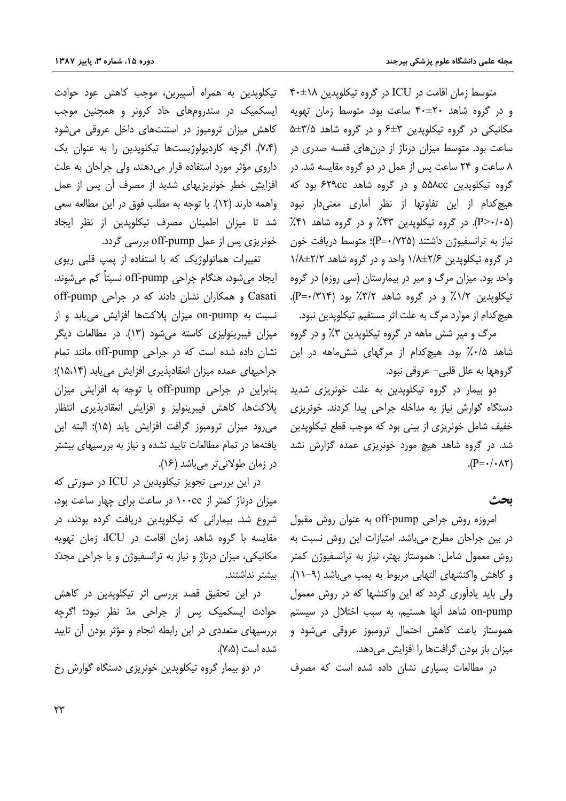متوسط زمان اقامت در ICU در گروه تیکلویدین ۴۰±۴۰ و در گروه شاهد ۴۰±۴۰ ساعت بود. متوسط زمان تهویه مکانیکی در گروه تیکلویدین ۳±۶ و در گروه شاهد ۵/۵±۵ ساعت بود. متوسط میزان درناژ از درنهای قفسه صدری در ۸ ساعت و ۲۴ ساعت پس از عمل در دو گروه مقایسه شد. در گروه تیکلوپدین ۵۵۸cc و در گروه شاهد ۶۲۹cc بود که هیچ کدام از این تفاوتها از نظر آماری معنی دار نبود (P>٠/٠۵). در گروه تیکلوپدین ۴۳٪ و در گروه شاهد ۴۱٪ نیاز به ترانسفیوژن داشتند (P=٠/٧٢۵)؛ متوسط دریافت خون در گروه تیکلوپدین ۲/۶±۱/۸ واحد و در گروه شاهد ۲/۲±۱/۸ واحد بود. میزان مرگ و میر در بیمارستان (سی روزه) در گروه تیکلویدین ۱/۲٪ و در گروه شاهد ۳/۲٪ بود (۳۱۴-P). هیچ کدام از موارد مرگ به علت اثر مستقیم تیکلویدین نبود.

مرگ و میر شش ماهه در گروه تیکلوپدین ۳٪ و در گروه شاهد ۰/۵٪ بود. هیچکدام از مرگهای ششءاهه در این گروهها به علل قلبي– عروقي نبود.

دو بیمار در گروه تیکلویدین به عل*ت* خونریز*ی* شدید دستگاه گوارش نیاز به مداخله جراحی پیدا کردند. خونریزی خفیف شامل خونریزی از بینی بود که موجب قطع تیکلویدین شد. در گروه شاهد هیچ مورد خونریزی عمده گزارش نشد  $(P = \cdot / \cdot \wedge \tau)$ 

### ىحث

امروزه روش جراحی off-pump به عنوان روش مقبول در بین جراحان مطرح میباشد. امتیازات این روش نسبت به روش معمول شامل: هموستاز بهتر، نیاز به ترانسفیوژن کمتر و کاهش واکنشهای التهابی مربوط به یمپ میباشد (۹–۱۱). ولی باید یادآوری گردد که این واکنشها که در روش معمول on-pump شاهد آنها هستیم، به سبب اختلال در سیستم هموستاز باعث كاهش احتمال ترومبوز عروقى مى شود و میزان باز بودن گرافتها را افزایش میدهد.

در مطالعات بسیاری نشان داده شده است که مصرف

تیکلوپدین به همراه آسپیرین، موجب کاهش عود حوادث ایسکمیک در سندرومهای حاد کرونر و همچنین موجب کاهش میزان ترومبوز در استنتهای داخل عروقی میشود (۷،۴). اگرچه کاردیولوژیستها تیکلوپدین را به عنوان یک داروی مؤثر مورد استفاده قرار می دهند، ولی جراحان به علت افزایش خطر خونریزیهای شدید از مصرف آن پس از عمل واهمه دارند (١٢). با توجه به مطلب فوق در اين مطالعه سعى شد تا میزان اطمینان مصرف تیکلوپدین از نظر ایجاد خونریزی پس از عمل off-pump بررسی گردد.

تغییرات هماتولوژیک که با استفاده از پمپ قلبی ریوی ایجاد می شود، هنگام جراحی off-pump نسبتاً کم می شوند. Casati و همکاران نشان دادند که در جراحی off-pump نسبت به on-pump میزان پلاکتها افزایش می یابد و از میزان فیبرینولیزی کاسته میشود (۱۳). در مطالعات دیگر نشان داده شده است که در جراحی off-pump مانند تمام جراحیهای عمده میزان انعقادپذیری افزایش مییابد (۱۵،۱۴)؛ بنابراین در جراحی off-pump با توجه به افزایش میزان پلاکتها، کاهش فیبرینولیز و افزایش انعقادپذیری انتظار مي,رود ميزان ترومبوز گرافت افزايش يابد (١۵)؛ البته اين یافتهها در تمام مطالعات تایید نشده و نیاز به بررسیهای بیشتر در زمان طولانی تر می باشد (۱۶).

در این بررسی تجویز تیکلوپدین در ICU در صورتی که میزان درناژ کمتر از ۱۰۰cc در ساعت برای چهار ساعت بود، شروع شد. بیمارانی که تیکلویدین دریافت کرده بودند، در مقایسه با گروه شاهد زمان اقامت در ICU، زمان تهویه مکانیکی، میزان درناژ و نیاز به ترانسفیوژن و یا جراحی مجدّد بيشتر نداشتند.

در این تحقیق قصد بررسی اثر تیکلویدین در کاهش حوادث ایسکمیک پس از جراحی مدّ نظر نبود؛ اگرچه بررسیهای متعددی در این رابطه انجام و مؤثر بودن آن تایید شده است (۷،۵).

در دو بیمار گروه تیکلوپدین خونریزی دستگاه گوارش رخ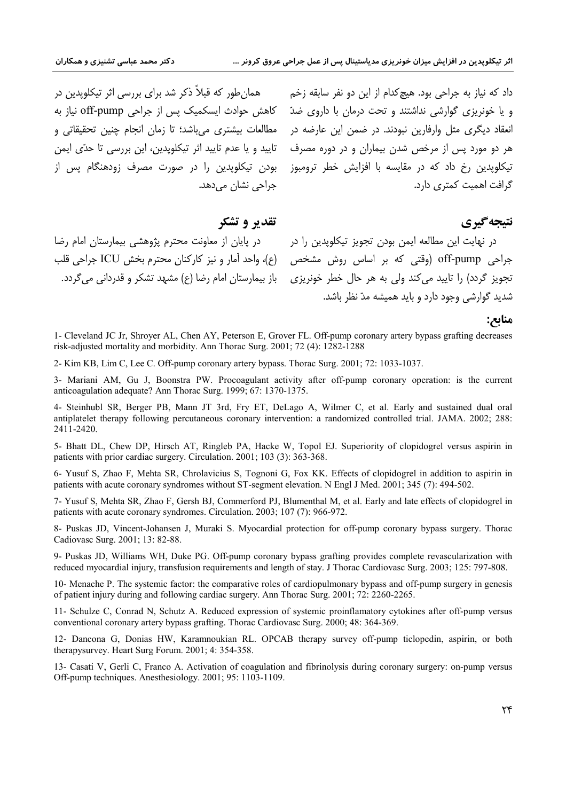بودن تیکلویدین را در صورت مصرف زودهنگام پس از جراحی نشان می دهد.

داد که نیاز به جراحی بود. هیچ *کد*ام از این دو نفر سابقه زخم همان طور که قبلاً ذکر شد برای بررسی اثر تیکلویدین در و یا خونریزی گوارشی نداشتند و تحت درمان با داروی ضدّ کاهش حوادث ایسکمیک پس از جراحی off-pump نیاز به انعقاد دیگری مثل وارفارین نبودند. در ضمن این عارضه در مطالعات بیشتری میباشد؛ تا زمان انجام چنین تحقیقاتی و هر دو مورد پس از مرخص شدن بیماران و در دوره مصرف تایید و یا عدم تایید اثر تیکلویدین، این بررسی تا حدّی ایمن تیکلوپدین رخ داد که در مقایسه با افزایش خطر ترومبوز گرافت اهمیت کمتری دارد.

## تقدير و تشكر

جراحی off-pump (وقتی که بر اساس روش مشخص (ع)، واحد آمار و نیز کارکنان محترم بخش ICU جراحی قلب

در نهایت این مطالعه ایمن بودن تجویز تیکلوپدین را در مصل در پایان از معاونت محترم پژوهشی بیمارستان امام رضا تجویز گردد) را تایید می کند ولی به هر حال خطر خونریزی پ باز بیمارستان امام رضا (ع) مشهد تشکر و قدردانی می گردد. شدید گوارشی وجود دارد و باید همیشه مدّ نظر باشد.

### منابع:

نتيجه گيري

1- Cleveland JC Jr, Shroyer AL, Chen AY, Peterson E, Grover FL. Off-pump coronary artery bypass grafting decreases risk-adjusted mortality and morbidity. Ann Thorac Surg. 2001; 72 (4): 1282-1288

2- Kim KB, Lim C, Lee C. Off-pump coronary artery bypass. Thorac Surg. 2001; 72: 1033-1037.

3- Mariani AM, Gu J, Boonstra PW. Procoagulant activity after off-pump coronary operation: is the current anticoagulation adequate? Ann Thorac Surg. 1999; 67: 1370-1375.

4- Steinhubl SR, Berger PB, Mann JT 3rd, Fry ET, DeLago A, Wilmer C, et al. Early and sustained dual oral antiplatelet therapy following percutaneous coronary intervention: a randomized controlled trial. JAMA. 2002; 288: 2411-2420.

5- Bhatt DL, Chew DP, Hirsch AT, Ringleb PA, Hacke W, Topol EJ. Superiority of clopidogrel versus aspirin in patients with prior cardiac surgery. Circulation. 2001; 103 (3): 363-368.

6- Yusuf S, Zhao F, Mehta SR, Chrolavicius S, Tognoni G, Fox KK. Effects of clopidogrel in addition to aspirin in patients with acute coronary syndromes without ST-segment elevation. N Engl J Med. 2001; 345 (7): 494-502.

7- Yusuf S, Mehta SR, Zhao F, Gersh BJ, Commerford PJ, Blumenthal M, et al. Early and late effects of clopidogrel in patients with acute coronary syndromes. Circulation. 2003; 107 (7): 966-972.

8- Puskas JD, Vincent-Johansen J, Muraki S. Myocardial protection for off-pump coronary bypass surgery. Thorac Cadiovasc Surg. 2001; 13: 82-88.

9- Puskas JD, Williams WH, Duke PG. Off-pump coronary bypass grafting provides complete revascularization with reduced myocardial injury, transfusion requirements and length of stay. J Thorac Cardiovasc Surg. 2003; 125: 797-808.

10- Menache P. The systemic factor: the comparative roles of cardiopulmonary bypass and off-pump surgery in genesis of patient injury during and following cardiac surgery. Ann Thorac Surg. 2001; 72: 2260-2265.

11- Schulze C, Conrad N, Schutz A. Reduced expression of systemic proinflamatory cytokines after off-pump versus conventional coronary artery bypass grafting. Thorac Cardiovasc Surg. 2000: 48: 364-369.

12- Dancona G, Donias HW, Karamnoukian RL. OPCAB therapy survey off-pump ticlopedin, aspirin, or both therapysurvey. Heart Surg Forum. 2001; 4: 354-358.

13- Casati V, Gerli C, Franco A. Activation of coagulation and fibrinolysis during coronary surgery: on-pump versus Off-pump techniques. Anesthesiology. 2001; 95: 1103-1109.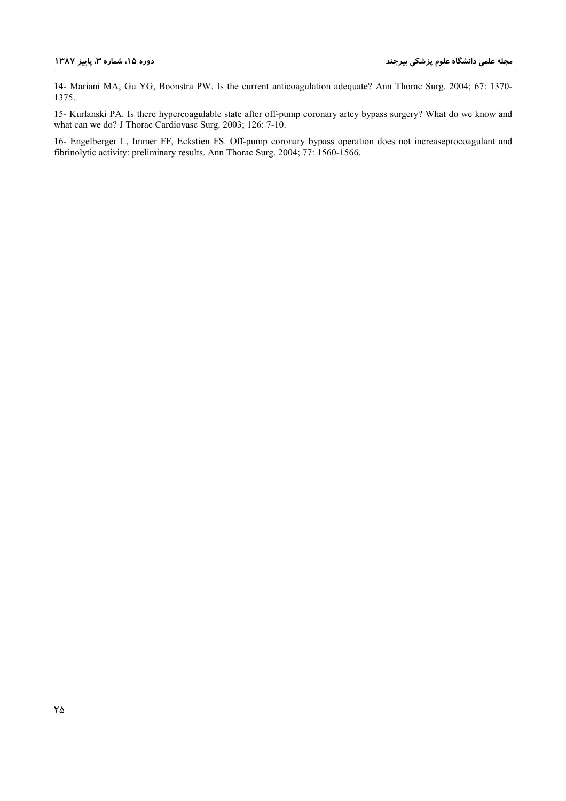14- Mariani MA, Gu YG, Boonstra PW. Is the current anticoagulation adequate? Ann Thorac Surg. 2004; 67: 1370-1375.

15- Kurlanski PA. Is there hypercoagulable state after off-pump coronary artey bypass surgery? What do we know and what can we do? J Thorac Cardiovasc Surg. 2003; 126: 7-10.

16- Engelberger L, Immer FF, Eckstien FS. Off-pump coronary bypass operation does not increaseprocoagulant and fibrinolytic activity: preliminary results. Ann Thorac Surg. 2004; 77: 1560-1566.